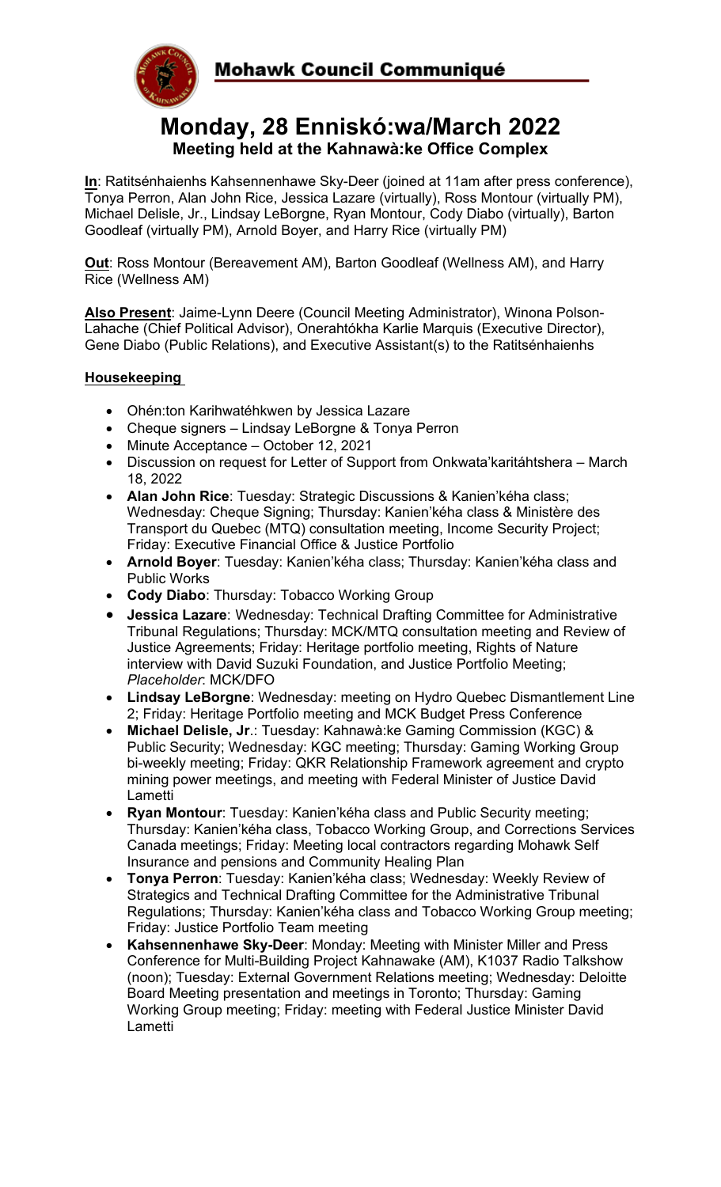



# **Monday, 28 Enniskó:wa/March 2022 Meeting held at the Kahnawà:ke Office Complex**

**In**: Ratitsénhaienhs Kahsennenhawe Sky-Deer (joined at 11am after press conference), Tonya Perron, Alan John Rice, Jessica Lazare (virtually), Ross Montour (virtually PM), Michael Delisle, Jr., Lindsay LeBorgne, Ryan Montour, Cody Diabo (virtually), Barton Goodleaf (virtually PM), Arnold Boyer, and Harry Rice (virtually PM)

**Out**: Ross Montour (Bereavement AM), Barton Goodleaf (Wellness AM), and Harry Rice (Wellness AM)

**Also Present**: Jaime-Lynn Deere (Council Meeting Administrator), Winona Polson-Lahache (Chief Political Advisor), Onerahtókha Karlie Marquis (Executive Director), Gene Diabo (Public Relations), and Executive Assistant(s) to the Ratitsénhaienhs

## **Housekeeping**

- Ohén:ton Karihwatéhkwen by Jessica Lazare
- Cheque signers Lindsay LeBorgne & Tonya Perron
- Minute Acceptance October 12, 2021
- Discussion on request for Letter of Support from Onkwata'karitáhtshera March 18, 2022
- **Alan John Rice**: Tuesday: Strategic Discussions & Kanien'kéha class; Wednesday: Cheque Signing; Thursday: Kanien'kéha class & Ministère des Transport du Quebec (MTQ) consultation meeting, Income Security Project; Friday: Executive Financial Office & Justice Portfolio
- **Arnold Boyer**: Tuesday: Kanien'kéha class; Thursday: Kanien'kéha class and Public Works
- **Cody Diabo**: Thursday: Tobacco Working Group
- **Jessica Lazare**: Wednesday: Technical Drafting Committee for Administrative Tribunal Regulations; Thursday: MCK/MTQ consultation meeting and Review of Justice Agreements; Friday: Heritage portfolio meeting, Rights of Nature interview with David Suzuki Foundation, and Justice Portfolio Meeting; *Placeholder*: MCK/DFO
- **Lindsay LeBorgne**: Wednesday: meeting on Hydro Quebec Dismantlement Line 2; Friday: Heritage Portfolio meeting and MCK Budget Press Conference
- **Michael Delisle, Jr**.: Tuesday: Kahnawà:ke Gaming Commission (KGC) & Public Security; Wednesday: KGC meeting; Thursday: Gaming Working Group bi-weekly meeting; Friday: QKR Relationship Framework agreement and crypto mining power meetings, and meeting with Federal Minister of Justice David Lametti
- **Ryan Montour**: Tuesday: Kanien'kéha class and Public Security meeting; Thursday: Kanien'kéha class, Tobacco Working Group, and Corrections Services Canada meetings; Friday: Meeting local contractors regarding Mohawk Self Insurance and pensions and Community Healing Plan
- **Tonya Perron**: Tuesday: Kanien'kéha class; Wednesday: Weekly Review of Strategics and Technical Drafting Committee for the Administrative Tribunal Regulations; Thursday: Kanien'kéha class and Tobacco Working Group meeting; Friday: Justice Portfolio Team meeting
- **Kahsennenhawe Sky-Deer**: Monday: Meeting with Minister Miller and Press Conference for Multi-Building Project Kahnawake (AM), K1037 Radio Talkshow (noon); Tuesday: External Government Relations meeting; Wednesday: Deloitte Board Meeting presentation and meetings in Toronto; Thursday: Gaming Working Group meeting; Friday: meeting with Federal Justice Minister David Lametti